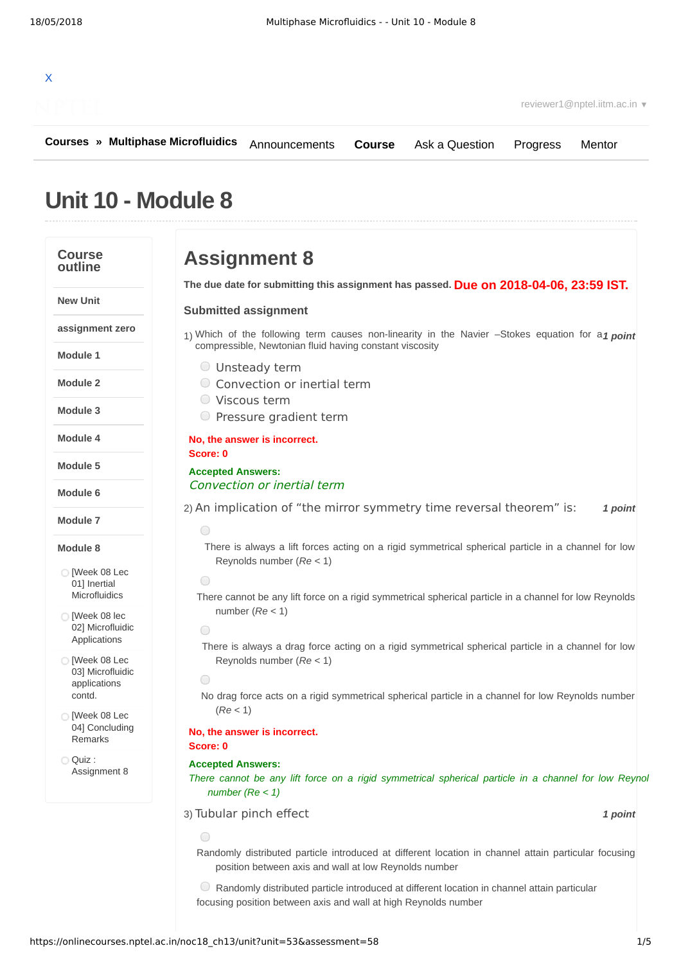# X

reviewer1@nptel.iitm.ac.in ▼

**[Courses](https://onlinecourses.nptel.ac.in/) » [Multiphase Microfluidics](https://onlinecourses.nptel.ac.in/noc18_ch13/course) [Course](https://onlinecourses.nptel.ac.in/noc18_ch13/course)** [Ask a Question](https://onlinecourses.nptel.ac.in/noc18_ch13/forum) [Progress](https://onlinecourses.nptel.ac.in/noc18_ch13/student/home) [Mentor](https://onlinecourses.nptel.ac.in/noc18_ch13/student/mentor)

## **Unit 10 - Module 8**

#### **Course outline**

**New Unit**

**Module 1**

**Module 2**

**Module 3**

**Module 4**

**Module 5**

**Module 6**

**Module 7**

**Module 8**

 $\bigcirc$  [Week 08 Lec 01] Inertial [Microfluidics](https://onlinecourses.nptel.ac.in/noc18_ch13/unit?unit=53&lesson=54)  $\bigcirc$  [Week 08 lec 02] Microfluidic [Applications](https://onlinecourses.nptel.ac.in/noc18_ch13/unit?unit=53&lesson=55) [Week 08 Lec 03] Microfluidic [applications](https://onlinecourses.nptel.ac.in/noc18_ch13/unit?unit=53&lesson=56) contd.

 $\bigcirc$  [Week 08 Lec 04] [Concluding](https://onlinecourses.nptel.ac.in/noc18_ch13/unit?unit=53&lesson=57) Remarks

[Assignment](https://onlinecourses.nptel.ac.in/noc18_ch13/assessment?name=58) 8

Quiz :

**assignment zero**

## **Assignment 8**

**Due on 2018-04-06, 23:59 IST. The due date for submitting this assignment has passed.**

#### **Submitted assignment**

1) Which of the following term causes non-linearity in the Navier -Stokes equation for a1 point compressible, Newtonian fluid having constant viscosity

- Unsteady term
- Convection or inertial term
- Viscous term
- $\circ$  Pressure gradient term

#### **No, the answer is incorrect. Score: 0**

### **Accepted Answers:** Convection or inertial term

2) An implication of "the mirror symmetry time reversal theorem" is: 1 point

### $\bigcap$

There is always a lift forces acting on a rigid symmetrical spherical particle in a channel for low Reynolds number (*Re* < 1)

 $\bigcap$ 

There cannot be any lift force on a rigid symmetrical spherical particle in a channel for low Reynolds number (*Re* < 1)

 $\bigcirc$ 

There is always a drag force acting on a rigid symmetrical spherical particle in a channel for low Reynolds number (*Re* < 1)

```
\bigcap
```
No drag force acts on a rigid symmetrical spherical particle in a channel for low Reynolds number (*Re* < 1)

**No, the answer is incorrect. Score: 0**

#### **Accepted Answers:**

There cannot be any lift force on a rigid symmetrical spherical particle in a channel for low Reynol *number (Re < 1)*

#### 3) *1 point* Tubular pinch effect

Randomly distributed particle introduced at different location in channel attain particular focusing position between axis and wall at low Reynolds number

Randomly distributed particle introduced at different location in channel attain particular focusing position between axis and wall at high Reynolds number

 $\bigcap$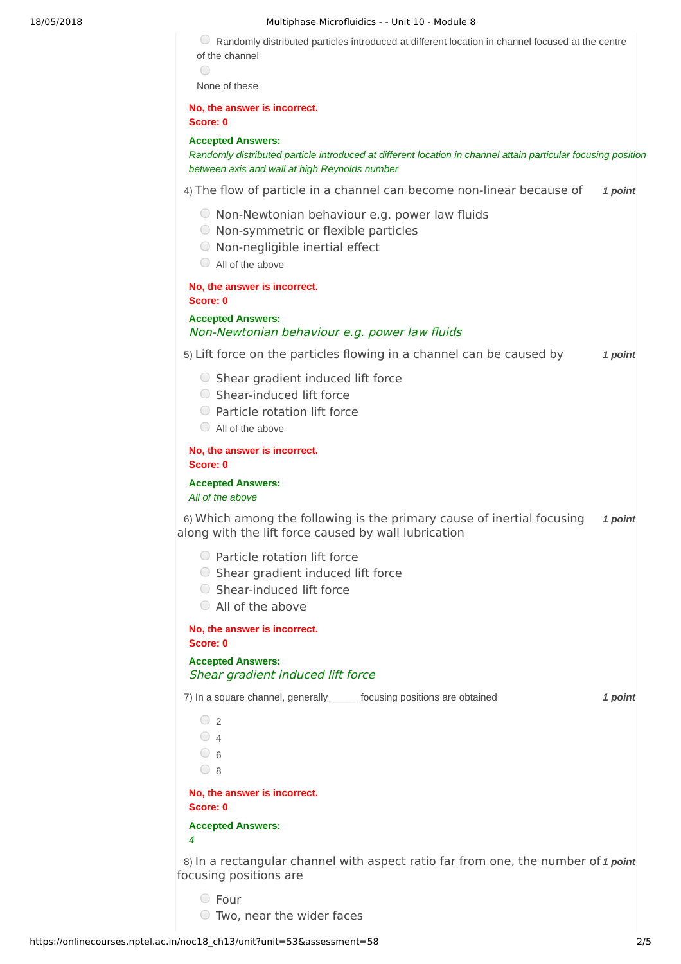#### 18/05/2018 Multiphase Microfluidics - - Unit 10 - Module 8

 $\heartsuit$  Randomly distributed particles introduced at different location in channel focused at the centre of the channel  $\bigcap$ 

None of these

**No, the answer is incorrect.**

**Score: 0**

#### **Accepted Answers:**

*Randomly distributed particle introduced at different location in channel attain particular focusing position between axis and wall at high Reynolds number*

4) The flow of particle in a channel can become non-linear because of 1 point

- $\bigcirc$  Non-Newtonian behaviour e.g. power law fluids
- $\bigcirc$  Non-symmetric or flexible particles
- $\bigcirc$  Non-negligible inertial effect
- $\bigcirc$  All of the above

**No, the answer is incorrect. Score: 0**

**Accepted Answers:** Non-Newtonian behaviour e.g. power law fluids

5) *1 point* Lift force on the particles flowing in a channel can be caused by

- $\bigcirc$  Shear gradient induced lift force
- Shear-induced lift force
- $\bigcirc$  Particle rotation lift force
- All of the above

**No, the answer is incorrect. Score: 0**

**Accepted Answers:** *All of the above*

6) Which among the following is the primary cause of inertial focusing 1 point along with the lift force caused by wall lubrication

- $\bigcirc$  Particle rotation lift force
- $\circ$  Shear gradient induced lift force
- Shear-induced lift force
- All of the above

**No, the answer is incorrect. Score: 0**

**Accepted Answers:** Shear gradient induced lift force

7) *1 point* In a square channel, generally \_\_\_\_\_ focusing positions are obtained

 $\bigcirc$  2  $\bigcirc$  4  $\bigcirc$  6  $\bigcirc$  8

**No, the answer is incorrect. Score: 0**

**Accepted Answers:** *4*

8) In a rectangular channel with aspect ratio far from one, the number of 1 point focusing positions are

Four

Two, near the wider faces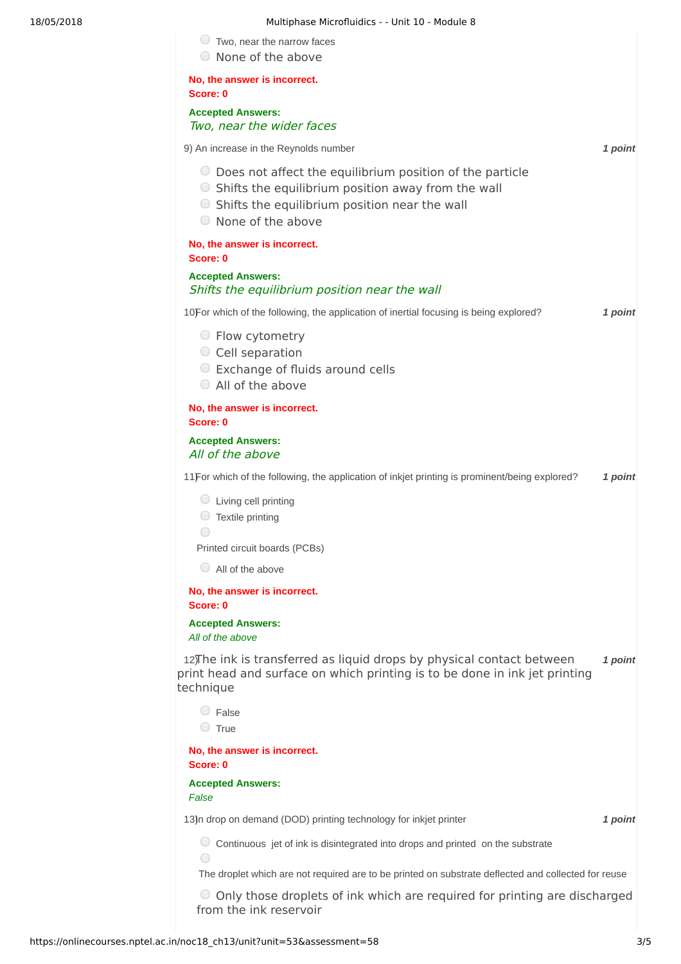#### 18/05/2018 Multiphase Microfluidics - - Unit 10 - Module 8

|  |  | Two, near the narrow faces |  |
|--|--|----------------------------|--|
|  |  |                            |  |

None of the above

**No, the answer is incorrect. Score: 0 Accepted Answers:**

Two, near the wider faces

9) *1 point* An increase in the Reynolds number  $\bigcirc$  Does not affect the equilibrium position of the particle  $\circ$  Shifts the equilibrium position away from the wall  $\bigcirc$  Shifts the equilibrium position near the wall None of the above **No, the answer is incorrect.**

**Score: 0 Accepted Answers:** Shifts the equilibrium position near the wall

10) **10** *i 1 point* **1** *point* **1** *point* **1** *point* **1** *point* 

- Flow cytometry
- $\circ$  Cell separation
- **■** Exchange of fluids around cells
- All of the above

**No, the answer is incorrect. Score: 0**

#### **Accepted Answers:** All of the above

11) For which of the following, the application of inkjet printing is prominent/being explored? **1 point** 

- $\bigcirc$  Living cell printing
- $\bigcirc$  Textile printing
- $\bigcap$

Printed circuit boards (PCBs)

All of the above

**No, the answer is incorrect. Score: 0**

**Accepted Answers:** *All of the above*

12) The ink is transferred as liquid drops by physical contact between 1 point print head and surface on which printing is to be done in ink jet printing technique

False  $\bigcirc$  True

**No, the answer is incorrect. Score: 0**

**Accepted Answers:**

*False*

13) *1 point* In drop on demand (DOD) printing technology for inkjet printer

 $\bigcirc$  Continuous jet of ink is disintegrated into drops and printed on the substrate

The droplet which are not required are to be printed on substrate deflected and collected for reuse

Only those droplets of ink which are required for printing are discharged from the ink reservoir

 $\bigcirc$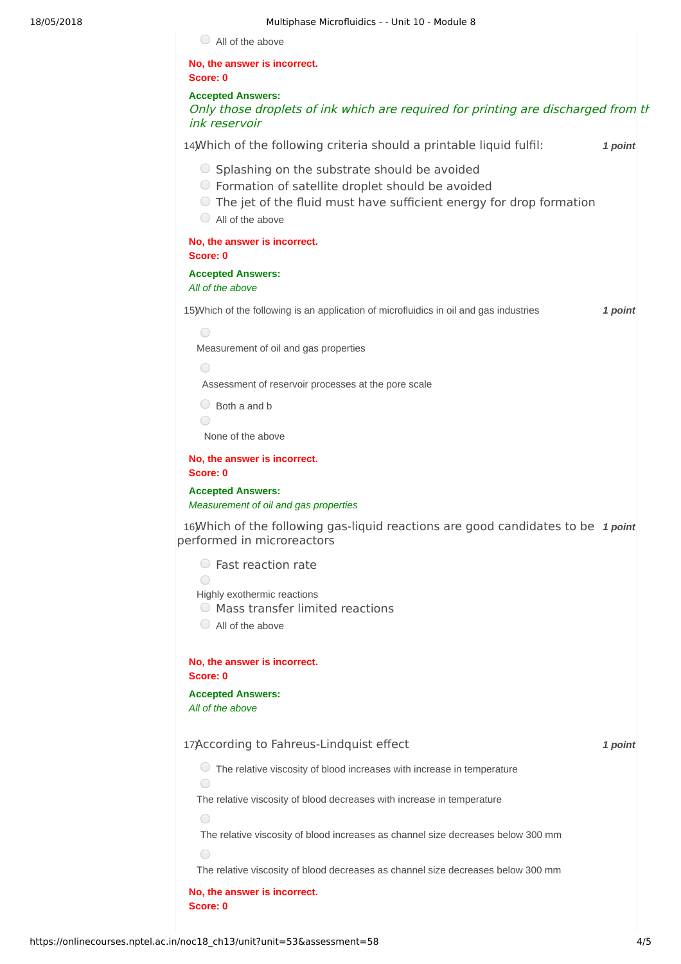All of the above

**No, the answer is incorrect. Score: 0 Accepted Answers:** Only those droplets of ink which are required for printing are discharged from the ink reservoir 14) *1 point* Which of the following criteria should a printable liquid fulfil:  $\circ$  Splashing on the substrate should be avoided Formation of satellite droplet should be avoided The jet of the fluid must have sufficient energy for drop formation All of the above **No, the answer is incorrect. Score: 0 Accepted Answers:** *All of the above* 15) *1 point* Which of the following is an application of microfluidics in oil and gas industries  $\bigcap$ Measurement of oil and gas properties  $\bigcirc$ Assessment of reservoir processes at the pore scale  $\bigcirc$  Both a and b  $\bigcirc$ None of the above **No, the answer is incorrect. Score: 0 Accepted Answers:** *Measurement of oil and gas properties* 16) *Nhich* of the following gas-liquid reactions are good candidates to be 1 point performed in microreactors Fast reaction rate  $\bigcap$ Highly exothermic reactions  $\bigcirc$  Mass transfer limited reactions All of the above **No, the answer is incorrect. Score: 0 Accepted Answers:** *All of the above* 17) *1 point* According to Fahreus-Lindquist effect The relative viscosity of blood increases with increase in temperature  $\bigcirc$ The relative viscosity of blood decreases with increase in temperature  $\bigcirc$ The relative viscosity of blood increases as channel size decreases below 300 mm  $\bigcirc$ The relative viscosity of blood decreases as channel size decreases below 300 mm **No, the answer is incorrect. Score: 0**